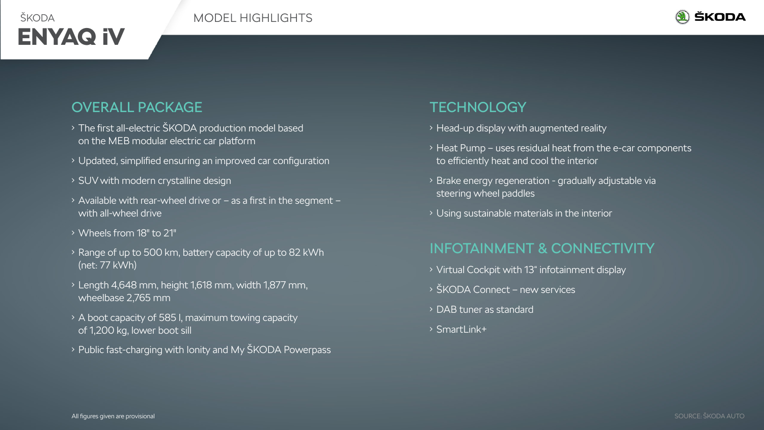



## OVERALL PACKAGE

- The first all-electric ŠKODA production model based on the MEB modular electric car platform
- Updated, simplified ensuring an improved car configuration
- SUV with modern crystalline design
- $\rightarrow$  Available with rear-wheel drive or as a first in the segment with all-wheel drive
- Wheels from 18" to 21"
- Range of up to 500 km, battery capacity of up to 82 kWh (net: 77 kWh)
- Length 4,648 mm, height 1,618 mm, width 1,877 mm, wheelbase 2,765 mm
- A boot capacity of 585 l, maximum towing capacity of 1,200 kg, lower boot sill
- Public fast-charging with Ionity and My ŠKODA Powerpass

## **TECHNOLOGY**

- Head-up display with augmented reality
- Heat Pump uses residual heat from the e-car components to efficiently heat and cool the interior
- Brake energy regeneration gradually adjustable via steering wheel paddles
- $\rightarrow$  Using sustainable materials in the interior

# INFOTAINMENT & CONNECTIVITY

- Virtual Cockpit with 13" infotainment display
- ŠKODA Connect new services
- DAB tuner as standard
- SmartLink+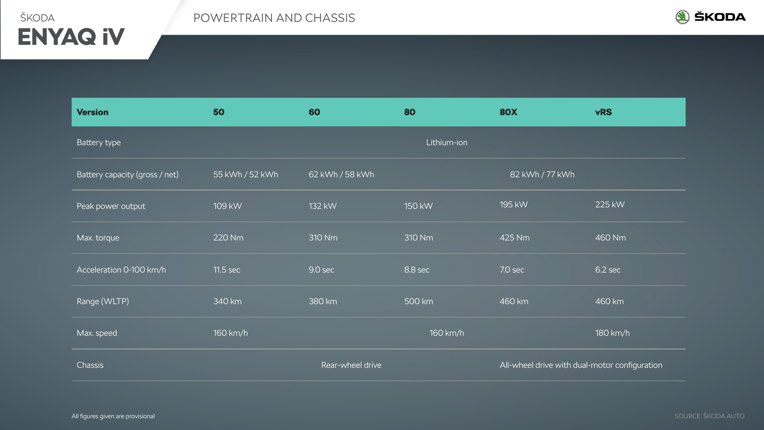



| <b>Version</b>                 | 50              | 60               | 80          | <b>80X</b>                                    | <b>vRS</b> |
|--------------------------------|-----------------|------------------|-------------|-----------------------------------------------|------------|
| Battery type                   |                 |                  | Lithium-ion |                                               |            |
| Battery capacity (gross / net) | 55 kWh / 52 kWh | 62 kWh / 58 kWh  |             | 82 kWh / 77 kWh                               |            |
| Peak power output              | 109 kW          | 132 kW           | 150 kW      | 195 kW                                        | 225 kW     |
| Max. torque                    | 220 Nm          | 310 Nm           | 310 Nm      | 425 Nm                                        | 460 Nm     |
| Acceleration 0-100 km/h        | 11.5 sec        | 9.0 sec          | 8.8 sec     | 7.0 sec                                       | 6.2 sec    |
| Range (WLTP)                   | 340 km          | 380 km           | 500 km      | 460 km                                        | 460 km     |
| Max. speed                     | 160 km/h        |                  | 160 km/h    |                                               | 180 km/h   |
| Chassis                        |                 | Rear-wheel drive |             | All-wheel drive with dual-motor configuration |            |